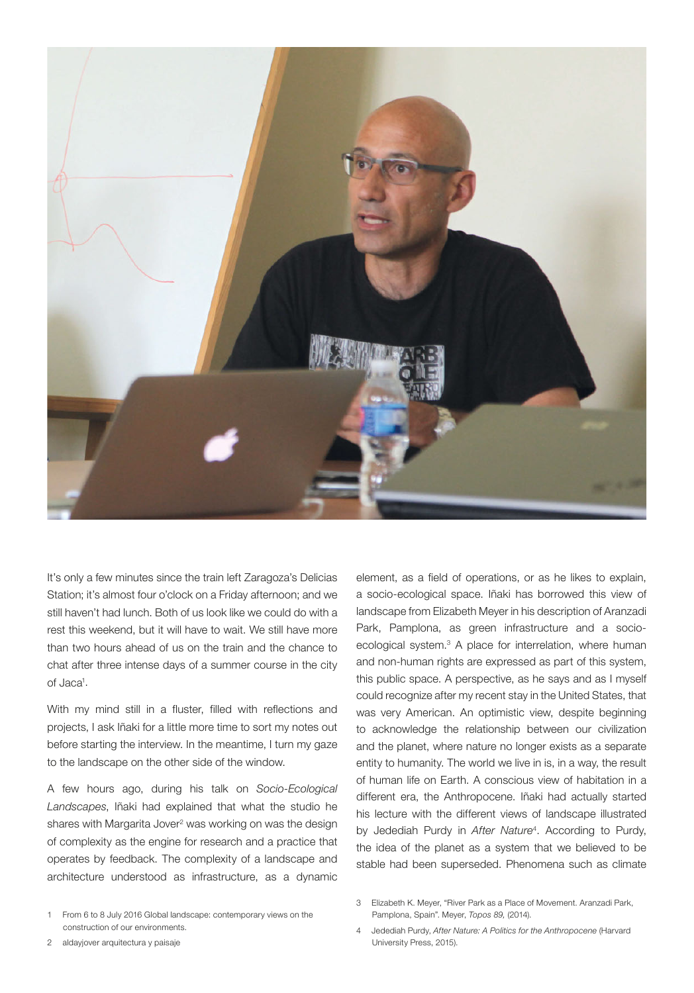

It's only a few minutes since the train left Zaragoza's Delicias Station; it's almost four o'clock on a Friday afternoon; and we still haven't had lunch. Both of us look like we could do with a rest this weekend, but it will have to wait. We still have more than two hours ahead of us on the train and the chance to chat after three intense days of a summer course in the city of Jaca<sup>1</sup>.

With my mind still in a fluster, filled with reflections and projects, I ask Iñaki for a little more time to sort my notes out before starting the interview. In the meantime, I turn my gaze to the landscape on the other side of the window.

A few hours ago, during his talk on *Socio-Ecological Landscapes*, Iñaki had explained that what the studio he shares with Margarita Jover<sup>2</sup> was working on was the design of complexity as the engine for research and a practice that operates by feedback. The complexity of a landscape and architecture understood as infrastructure, as a dynamic

element, as a field of operations, or as he likes to explain, a socio-ecological space. Iñaki has borrowed this view of landscape from Elizabeth Meyer in his description of Aranzadi Park, Pamplona, as green infrastructure and a socioecological system.<sup>3</sup> A place for interrelation, where human and non-human rights are expressed as part of this system, this public space. A perspective, as he says and as I myself could recognize after my recent stay in the United States, that was very American. An optimistic view, despite beginning to acknowledge the relationship between our civilization and the planet, where nature no longer exists as a separate entity to humanity. The world we live in is, in a way, the result of human life on Earth. A conscious view of habitation in a different era, the Anthropocene. Iñaki had actually started his lecture with the different views of landscape illustrated by Jedediah Purdy in *After Nature*<sup>4</sup> . According to Purdy, the idea of the planet as a system that we believed to be stable had been superseded. Phenomena such as climate

3 Elizabeth K. Meyer, "River Park as a Place of Movement. Aranzadi Park, Pamplona, Spain". Meyer, *Topos 89,* (2014).

2 aldayjover arquitectura y paisaje

4 Jedediah Purdy, *After Nature: A Politics for the Anthropocene* (Harvard University Press, 2015).

<sup>1</sup> From 6 to 8 July 2016 Global landscape: contemporary views on the construction of our environments.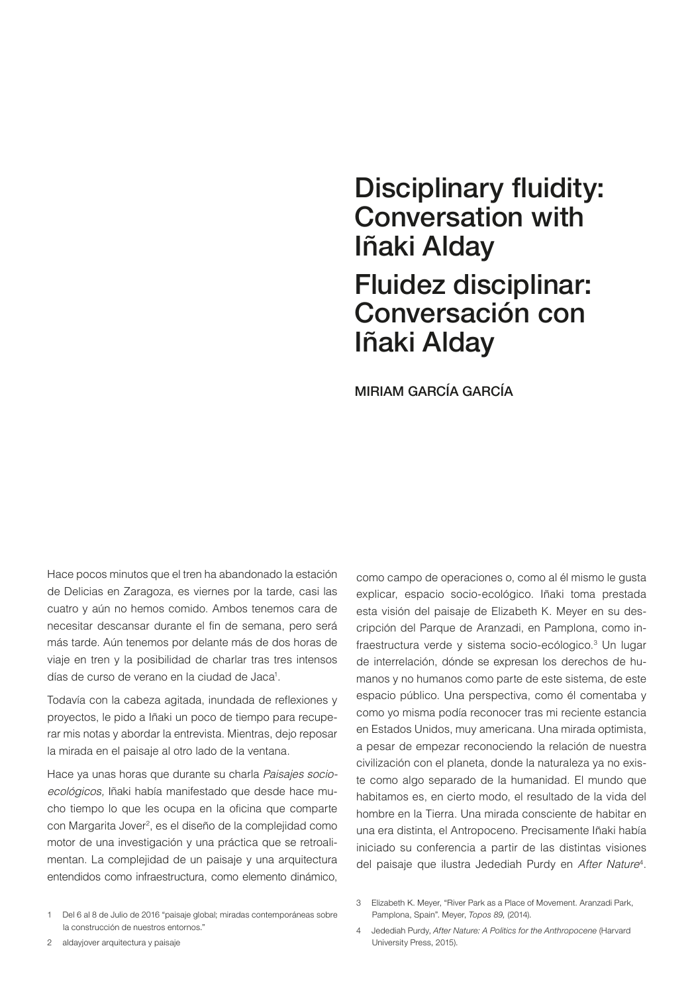# Disciplinary fluidity: Conversation with Iñaki Alday Fluidez disciplinar: Conversación con Iñaki Alday

MIRIAM GARCÍA GARCÍA

Hace pocos minutos que el tren ha abandonado la estación de Delicias en Zaragoza, es viernes por la tarde, casi las cuatro y aún no hemos comido. Ambos tenemos cara de necesitar descansar durante el fin de semana, pero será más tarde. Aún tenemos por delante más de dos horas de viaje en tren y la posibilidad de charlar tras tres intensos días de curso de verano en la ciudad de Jaca<sup>1</sup>.

Todavía con la cabeza agitada, inundada de reflexiones y proyectos, le pido a Iñaki un poco de tiempo para recuperar mis notas y abordar la entrevista. Mientras, dejo reposar la mirada en el paisaje al otro lado de la ventana.

Hace ya unas horas que durante su charla *Paisajes socioecológicos,* Iñaki había manifestado que desde hace mucho tiempo lo que les ocupa en la oficina que comparte con Margarita Jover<sup>2</sup>, es el diseño de la complejidad como motor de una investigación y una práctica que se retroalimentan. La complejidad de un paisaje y una arquitectura entendidos como infraestructura, como elemento dinámico,

como campo de operaciones o, como al él mismo le gusta explicar, espacio socio-ecológico. Iñaki toma prestada esta visión del paisaje de Elizabeth K. Meyer en su descripción del Parque de Aranzadi, en Pamplona, como infraestructura verde y sistema socio-ecólogico.<sup>3</sup> Un lugar de interrelación, dónde se expresan los derechos de humanos y no humanos como parte de este sistema, de este espacio público. Una perspectiva, como él comentaba y como yo misma podía reconocer tras mi reciente estancia en Estados Unidos, muy americana. Una mirada optimista, a pesar de empezar reconociendo la relación de nuestra civilización con el planeta, donde la naturaleza ya no existe como algo separado de la humanidad. El mundo que habitamos es, en cierto modo, el resultado de la vida del hombre en la Tierra. Una mirada consciente de habitar en una era distinta, el Antropoceno. Precisamente Iñaki había iniciado su conferencia a partir de las distintas visiones del paisaje que ilustra Jedediah Purdy en *After Nature*4.

<sup>1</sup> Del 6 al 8 de Julio de 2016 "paisaje global; miradas contemporáneas sobre la construcción de nuestros entornos."

<sup>3</sup> Elizabeth K. Meyer, "River Park as a Place of Movement. Aranzadi Park, Pamplona, Spain". Meyer, *Topos 89,* (2014). 4 Jedediah Purdy, *After Nature: A Politics for the Anthropocene* (Harvard

<sup>2</sup> aldayjover arquitectura y paisaje

University Press, 2015).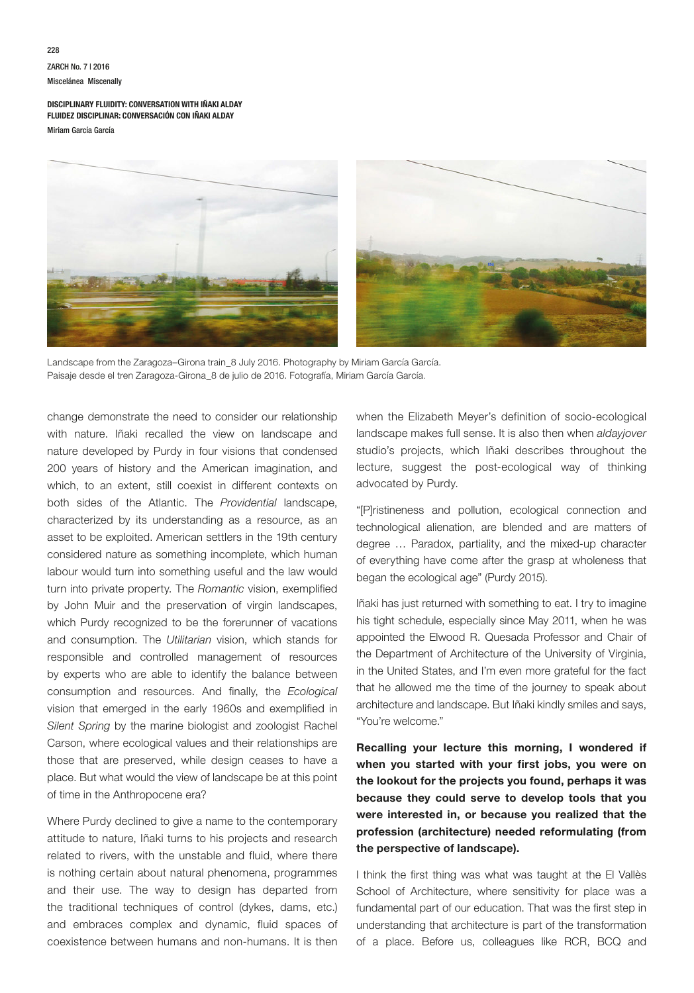# ZARCH No. 7 | 2016 Miscelánea Miscenally

**DISCIPLINARY FLUIDITY: CONVERSATION WITH IÑAKI ALDAY FLUIDEZ DISCIPLINAR: CONVERSACIÓN CON IÑAKI ALDAY** Miriam García García



Landscape from the Zaragoza–Girona train\_8 July 2016. Photography by Miriam García García. Paisaje desde el tren Zaragoza-Girona\_8 de julio de 2016. Fotografía, Miriam García García.

change demonstrate the need to consider our relationship with nature. Iñaki recalled the view on landscape and nature developed by Purdy in four visions that condensed 200 years of history and the American imagination, and which, to an extent, still coexist in different contexts on both sides of the Atlantic. The *Providential* landscape, characterized by its understanding as a resource, as an asset to be exploited. American settlers in the 19th century considered nature as something incomplete, which human labour would turn into something useful and the law would turn into private property. The *Romantic* vision, exemplified by John Muir and the preservation of virgin landscapes, which Purdy recognized to be the forerunner of vacations and consumption. The *Utilitarian* vision, which stands for responsible and controlled management of resources by experts who are able to identify the balance between consumption and resources. And finally, the *Ecological* vision that emerged in the early 1960s and exemplified in *Silent Spring* by the marine biologist and zoologist Rachel Carson, where ecological values and their relationships are those that are preserved, while design ceases to have a place. But what would the view of landscape be at this point of time in the Anthropocene era?

Where Purdy declined to give a name to the contemporary attitude to nature, Iñaki turns to his projects and research related to rivers, with the unstable and fluid, where there is nothing certain about natural phenomena, programmes and their use. The way to design has departed from the traditional techniques of control (dykes, dams, etc.) and embraces complex and dynamic, fluid spaces of coexistence between humans and non-humans. It is then

when the Elizabeth Meyer's definition of socio-ecological landscape makes full sense. It is also then when *aldayjover* studio's projects, which Iñaki describes throughout the lecture, suggest the post-ecological way of thinking advocated by Purdy.

"[P]ristineness and pollution, ecological connection and technological alienation, are blended and are matters of degree … Paradox, partiality, and the mixed-up character of everything have come after the grasp at wholeness that began the ecological age" (Purdy 2015).

Iñaki has just returned with something to eat. I try to imagine his tight schedule, especially since May 2011, when he was appointed the Elwood R. Quesada Professor and Chair of the Department of Architecture of the University of Virginia, in the United States, and I'm even more grateful for the fact that he allowed me the time of the journey to speak about architecture and landscape. But Iñaki kindly smiles and says, "You're welcome."

**Recalling your lecture this morning, I wondered if when you started with your first jobs, you were on the lookout for the projects you found, perhaps it was because they could serve to develop tools that you were interested in, or because you realized that the profession (architecture) needed reformulating (from the perspective of landscape).**

I think the first thing was what was taught at the El Vallès School of Architecture, where sensitivity for place was a fundamental part of our education. That was the first step in understanding that architecture is part of the transformation of a place. Before us, colleagues like RCR, BCQ and

228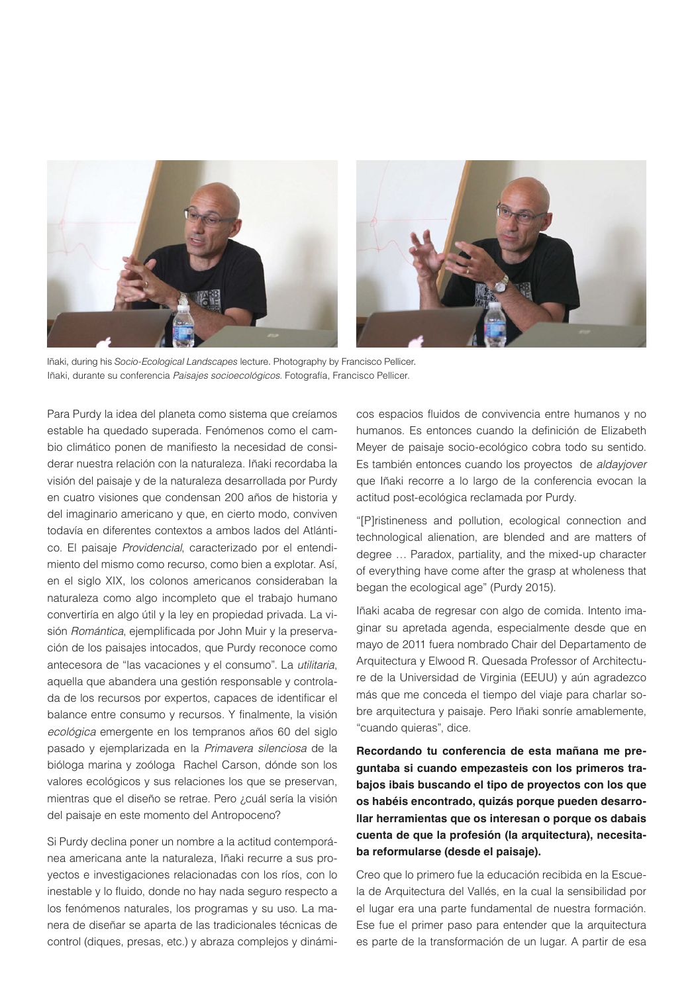

Iñaki, during his *Socio-Ecological Landscapes* lecture. Photography by Francisco Pellicer. Iñaki, durante su conferencia *Paisajes socioecológicos*. Fotografía, Francisco Pellicer.

Para Purdy la idea del planeta como sistema que creíamos estable ha quedado superada. Fenómenos como el cambio climático ponen de manifiesto la necesidad de considerar nuestra relación con la naturaleza. Iñaki recordaba la visión del paisaje y de la naturaleza desarrollada por Purdy en cuatro visiones que condensan 200 años de historia y del imaginario americano y que, en cierto modo, conviven todavía en diferentes contextos a ambos lados del Atlántico. El paisaje *Providencial*, caracterizado por el entendimiento del mismo como recurso, como bien a explotar. Así, en el siglo XIX, los colonos americanos consideraban la naturaleza como algo incompleto que el trabajo humano convertiría en algo útil y la ley en propiedad privada. La visión *Romántica*, ejemplificada por John Muir y la preservación de los paisajes intocados, que Purdy reconoce como antecesora de "las vacaciones y el consumo". La *utilitaria*, aquella que abandera una gestión responsable y controlada de los recursos por expertos, capaces de identificar el balance entre consumo y recursos. Y finalmente, la visión *ecológica* emergente en los tempranos años 60 del siglo pasado y ejemplarizada en la *Primavera silenciosa* de la bióloga marina y zoóloga Rachel Carson, dónde son los valores ecológicos y sus relaciones los que se preservan, mientras que el diseño se retrae. Pero ¿cuál sería la visión del paisaje en este momento del Antropoceno?

Si Purdy declina poner un nombre a la actitud contemporánea americana ante la naturaleza, Iñaki recurre a sus proyectos e investigaciones relacionadas con los ríos, con lo inestable y lo fluido, donde no hay nada seguro respecto a los fenómenos naturales, los programas y su uso. La manera de diseñar se aparta de las tradicionales técnicas de control (diques, presas, etc.) y abraza complejos y dinámicos espacios fluidos de convivencia entre humanos y no humanos. Es entonces cuando la definición de Elizabeth Meyer de paisaje socio-ecológico cobra todo su sentido. Es también entonces cuando los proyectos de *aldayjover*  que Iñaki recorre a lo largo de la conferencia evocan la actitud post-ecológica reclamada por Purdy.

"[P]ristineness and pollution, ecological connection and technological alienation, are blended and are matters of degree … Paradox, partiality, and the mixed-up character of everything have come after the grasp at wholeness that began the ecological age" (Purdy 2015).

Iñaki acaba de regresar con algo de comida. Intento imaginar su apretada agenda, especialmente desde que en mayo de 2011 fuera nombrado Chair del Departamento de Arquitectura y Elwood R. Quesada Professor of Architecture de la Universidad de Virginia (EEUU) y aún agradezco más que me conceda el tiempo del viaje para charlar sobre arquitectura y paisaje. Pero Iñaki sonríe amablemente, "cuando quieras", dice.

**Recordando tu conferencia de esta mañana me preguntaba si cuando empezasteis con los primeros trabajos ibais buscando el tipo de proyectos con los que os habéis encontrado, quizás porque pueden desarrollar herramientas que os interesan o porque os dabais cuenta de que la profesión (la arquitectura), necesitaba reformularse (desde el paisaje).**

Creo que lo primero fue la educación recibida en la Escuela de Arquitectura del Vallés, en la cual la sensibilidad por el lugar era una parte fundamental de nuestra formación. Ese fue el primer paso para entender que la arquitectura es parte de la transformación de un lugar. A partir de esa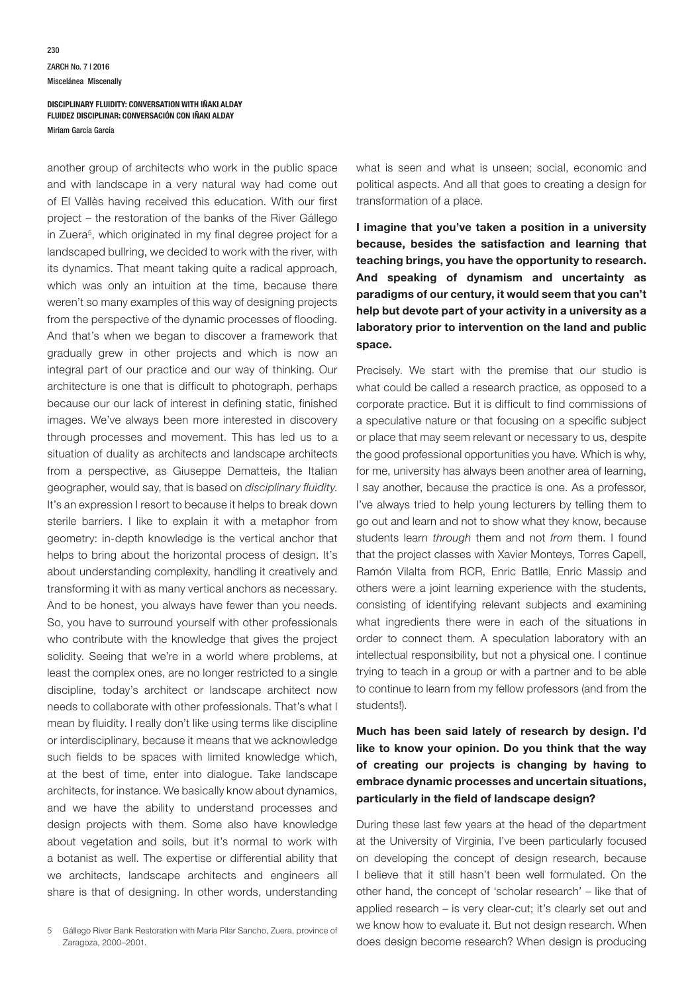another group of architects who work in the public space and with landscape in a very natural way had come out of El Vallès having received this education. With our first project – the restoration of the banks of the River Gállego in Zuera<sup>5</sup>, which originated in my final degree project for a landscaped bullring, we decided to work with the river, with its dynamics. That meant taking quite a radical approach, which was only an intuition at the time, because there weren't so many examples of this way of designing projects from the perspective of the dynamic processes of flooding. And that's when we began to discover a framework that gradually grew in other projects and which is now an integral part of our practice and our way of thinking. Our architecture is one that is difficult to photograph, perhaps because our our lack of interest in defining static, finished images. We've always been more interested in discovery through processes and movement. This has led us to a situation of duality as architects and landscape architects from a perspective, as Giuseppe Dematteis, the Italian geographer, would say, that is based on *disciplinary fluidity*. It's an expression I resort to because it helps to break down sterile barriers. I like to explain it with a metaphor from geometry: in-depth knowledge is the vertical anchor that helps to bring about the horizontal process of design. It's about understanding complexity, handling it creatively and transforming it with as many vertical anchors as necessary. And to be honest, you always have fewer than you needs. So, you have to surround yourself with other professionals who contribute with the knowledge that gives the project solidity. Seeing that we're in a world where problems, at least the complex ones, are no longer restricted to a single discipline, today's architect or landscape architect now needs to collaborate with other professionals. That's what I mean by fluidity. I really don't like using terms like discipline or interdisciplinary, because it means that we acknowledge such fields to be spaces with limited knowledge which, at the best of time, enter into dialogue. Take landscape architects, for instance. We basically know about dynamics, and we have the ability to understand processes and design projects with them. Some also have knowledge about vegetation and soils, but it's normal to work with a botanist as well. The expertise or differential ability that we architects, landscape architects and engineers all share is that of designing. In other words, understanding

5 Gállego River Bank Restoration with María Pilar Sancho, Zuera, province of Zaragoza, 2000–2001.

what is seen and what is unseen; social, economic and political aspects. And all that goes to creating a design for transformation of a place.

**I imagine that you've taken a position in a university because, besides the satisfaction and learning that teaching brings, you have the opportunity to research. And speaking of dynamism and uncertainty as paradigms of our century, it would seem that you can't help but devote part of your activity in a university as a laboratory prior to intervention on the land and public space.**

Precisely. We start with the premise that our studio is what could be called a research practice, as opposed to a corporate practice. But it is difficult to find commissions of a speculative nature or that focusing on a specific subject or place that may seem relevant or necessary to us, despite the good professional opportunities you have. Which is why, for me, university has always been another area of learning, I say another, because the practice is one. As a professor, I've always tried to help young lecturers by telling them to go out and learn and not to show what they know, because students learn *through* them and not *from* them. I found that the project classes with Xavier Monteys, Torres Capell, Ramón Vilalta from RCR, Enric Batlle, Enric Massip and others were a joint learning experience with the students, consisting of identifying relevant subjects and examining what ingredients there were in each of the situations in order to connect them. A speculation laboratory with an intellectual responsibility, but not a physical one. I continue trying to teach in a group or with a partner and to be able to continue to learn from my fellow professors (and from the students!).

# **Much has been said lately of research by design. I'd like to know your opinion. Do you think that the way of creating our projects is changing by having to embrace dynamic processes and uncertain situations, particularly in the field of landscape design?**

During these last few years at the head of the department at the University of Virginia, I've been particularly focused on developing the concept of design research, because I believe that it still hasn't been well formulated. On the other hand, the concept of 'scholar research' – like that of applied research – is very clear-cut; it's clearly set out and we know how to evaluate it. But not design research. When does design become research? When design is producing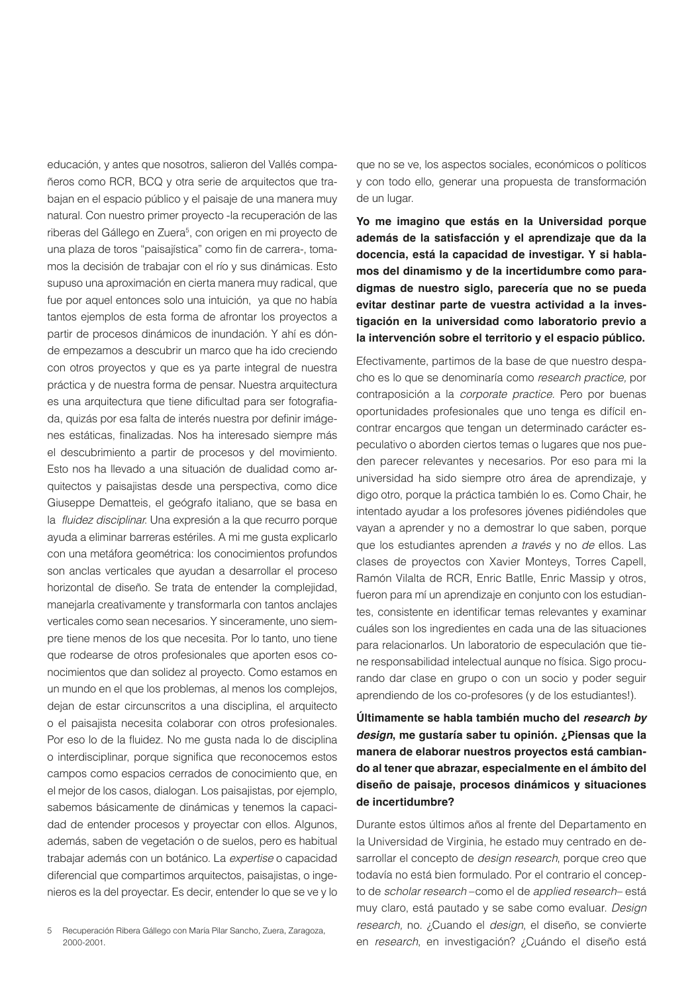educación, y antes que nosotros, salieron del Vallés compañeros como RCR, BCQ y otra serie de arquitectos que trabajan en el espacio público y el paisaje de una manera muy natural. Con nuestro primer proyecto -la recuperación de las riberas del Gállego en Zuera<sup>5</sup>, con origen en mi proyecto de una plaza de toros "paisajística" como fin de carrera-, tomamos la decisión de trabajar con el río y sus dinámicas. Esto supuso una aproximación en cierta manera muy radical, que fue por aquel entonces solo una intuición, ya que no había tantos ejemplos de esta forma de afrontar los proyectos a partir de procesos dinámicos de inundación. Y ahí es dónde empezamos a descubrir un marco que ha ido creciendo con otros proyectos y que es ya parte integral de nuestra práctica y de nuestra forma de pensar. Nuestra arquitectura es una arquitectura que tiene dificultad para ser fotografiada, quizás por esa falta de interés nuestra por definir imágenes estáticas, finalizadas. Nos ha interesado siempre más el descubrimiento a partir de procesos y del movimiento. Esto nos ha llevado a una situación de dualidad como arquitectos y paisajistas desde una perspectiva, como dice Giuseppe Dematteis, el geógrafo italiano, que se basa en la *fluidez disciplinar*. Una expresión a la que recurro porque ayuda a eliminar barreras estériles. A mi me gusta explicarlo con una metáfora geométrica: los conocimientos profundos son anclas verticales que ayudan a desarrollar el proceso horizontal de diseño. Se trata de entender la complejidad, manejarla creativamente y transformarla con tantos anclajes verticales como sean necesarios. Y sinceramente, uno siempre tiene menos de los que necesita. Por lo tanto, uno tiene que rodearse de otros profesionales que aporten esos conocimientos que dan solidez al proyecto. Como estamos en un mundo en el que los problemas, al menos los complejos, dejan de estar circunscritos a una disciplina, el arquitecto o el paisajista necesita colaborar con otros profesionales. Por eso lo de la fluidez. No me gusta nada lo de disciplina o interdisciplinar, porque significa que reconocemos estos campos como espacios cerrados de conocimiento que, en el mejor de los casos, dialogan. Los paisajistas, por ejemplo, sabemos básicamente de dinámicas y tenemos la capacidad de entender procesos y proyectar con ellos. Algunos, además, saben de vegetación o de suelos, pero es habitual trabajar además con un botánico. La *expertise* o capacidad diferencial que compartimos arquitectos, paisajistas, o ingenieros es la del proyectar. Es decir, entender lo que se ve y lo

que no se ve, los aspectos sociales, económicos o políticos y con todo ello, generar una propuesta de transformación de un lugar.

**Yo me imagino que estás en la Universidad porque además de la satisfacción y el aprendizaje que da la docencia, está la capacidad de investigar. Y si hablamos del dinamismo y de la incertidumbre como paradigmas de nuestro siglo, parecería que no se pueda evitar destinar parte de vuestra actividad a la investigación en la universidad como laboratorio previo a la intervención sobre el territorio y el espacio público.**

Efectivamente, partimos de la base de que nuestro despacho es lo que se denominaría como *research practice,* por contraposición a la *corporate practice.* Pero por buenas oportunidades profesionales que uno tenga es difícil encontrar encargos que tengan un determinado carácter especulativo o aborden ciertos temas o lugares que nos pueden parecer relevantes y necesarios. Por eso para mi la universidad ha sido siempre otro área de aprendizaje, y digo otro, porque la práctica también lo es. Como Chair, he intentado ayudar a los profesores jóvenes pidiéndoles que vayan a aprender y no a demostrar lo que saben, porque que los estudiantes aprenden *a través* y no *de* ellos. Las clases de proyectos con Xavier Monteys, Torres Capell, Ramón Vilalta de RCR, Enric Batlle, Enric Massip y otros, fueron para mí un aprendizaje en conjunto con los estudiantes, consistente en identificar temas relevantes y examinar cuáles son los ingredientes en cada una de las situaciones para relacionarlos. Un laboratorio de especulación que tiene responsabilidad intelectual aunque no física. Sigo procurando dar clase en grupo o con un socio y poder seguir aprendiendo de los co-profesores (y de los estudiantes!).

# **Últimamente se habla también mucho del** *research by design***, me gustaría saber tu opinión. ¿Piensas que la manera de elaborar nuestros proyectos está cambiando al tener que abrazar, especialmente en el ámbito del diseño de paisaje, procesos dinámicos y situaciones de incertidumbre?**

Durante estos últimos años al frente del Departamento en la Universidad de Virginia, he estado muy centrado en desarrollar el concepto de *design research*, porque creo que todavía no está bien formulado. Por el contrario el concepto de *scholar research* –como el de *applied research*– está muy claro, está pautado y se sabe como evaluar. *Design research,* no. ¿Cuando el *design*, el diseño, se convierte en *research*, en investigación? ¿Cuándo el diseño está

<sup>5</sup> Recuperación Ribera Gállego con María Pilar Sancho, Zuera, Zaragoza, 2000-2001.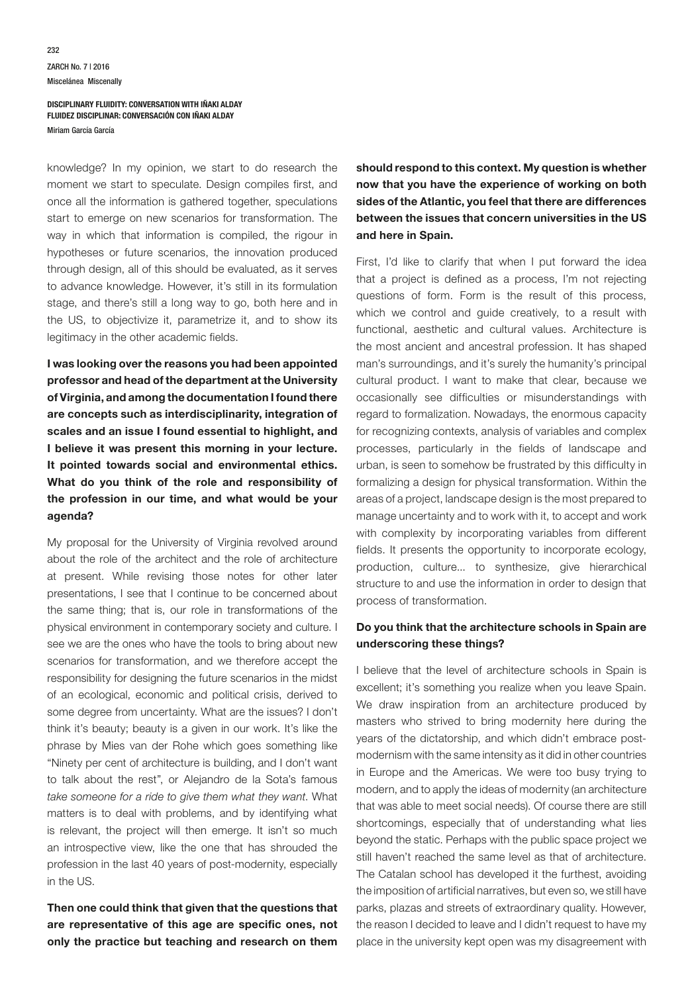knowledge? In my opinion, we start to do research the moment we start to speculate. Design compiles first, and once all the information is gathered together, speculations start to emerge on new scenarios for transformation. The way in which that information is compiled, the rigour in hypotheses or future scenarios, the innovation produced through design, all of this should be evaluated, as it serves to advance knowledge. However, it's still in its formulation stage, and there's still a long way to go, both here and in the US, to objectivize it, parametrize it, and to show its legitimacy in the other academic fields.

**I was looking over the reasons you had been appointed professor and head of the department at the University of Virginia, and among the documentation I found there are concepts such as interdisciplinarity, integration of scales and an issue I found essential to highlight, and I believe it was present this morning in your lecture. It pointed towards social and environmental ethics. What do you think of the role and responsibility of the profession in our time, and what would be your agenda?**

My proposal for the University of Virginia revolved around about the role of the architect and the role of architecture at present. While revising those notes for other later presentations, I see that I continue to be concerned about the same thing; that is, our role in transformations of the physical environment in contemporary society and culture. I see we are the ones who have the tools to bring about new scenarios for transformation, and we therefore accept the responsibility for designing the future scenarios in the midst of an ecological, economic and political crisis, derived to some degree from uncertainty. What are the issues? I don't think it's beauty; beauty is a given in our work. It's like the phrase by Mies van der Rohe which goes something like "Ninety per cent of architecture is building, and I don't want to talk about the rest", or Alejandro de la Sota's famous *take someone for a ride to give them what they want*. What matters is to deal with problems, and by identifying what is relevant, the project will then emerge. It isn't so much an introspective view, like the one that has shrouded the profession in the last 40 years of post-modernity, especially in the US.

**Then one could think that given that the questions that are representative of this age are specific ones, not only the practice but teaching and research on them** 

**should respond to this context. My question is whether now that you have the experience of working on both sides of the Atlantic, you feel that there are differences between the issues that concern universities in the US and here in Spain.**

First, I'd like to clarify that when I put forward the idea that a project is defined as a process, I'm not rejecting questions of form. Form is the result of this process, which we control and guide creatively, to a result with functional, aesthetic and cultural values. Architecture is the most ancient and ancestral profession. It has shaped man's surroundings, and it's surely the humanity's principal cultural product. I want to make that clear, because we occasionally see difficulties or misunderstandings with regard to formalization. Nowadays, the enormous capacity for recognizing contexts, analysis of variables and complex processes, particularly in the fields of landscape and urban, is seen to somehow be frustrated by this difficulty in formalizing a design for physical transformation. Within the areas of a project, landscape design is the most prepared to manage uncertainty and to work with it, to accept and work with complexity by incorporating variables from different fields. It presents the opportunity to incorporate ecology, production, culture... to synthesize, give hierarchical structure to and use the information in order to design that process of transformation.

### **Do you think that the architecture schools in Spain are underscoring these things?**

I believe that the level of architecture schools in Spain is excellent; it's something you realize when you leave Spain. We draw inspiration from an architecture produced by masters who strived to bring modernity here during the years of the dictatorship, and which didn't embrace postmodernism with the same intensity as it did in other countries in Europe and the Americas. We were too busy trying to modern, and to apply the ideas of modernity (an architecture that was able to meet social needs). Of course there are still shortcomings, especially that of understanding what lies beyond the static. Perhaps with the public space project we still haven't reached the same level as that of architecture. The Catalan school has developed it the furthest, avoiding the imposition of artificial narratives, but even so, we still have parks, plazas and streets of extraordinary quality. However, the reason I decided to leave and I didn't request to have my place in the university kept open was my disagreement with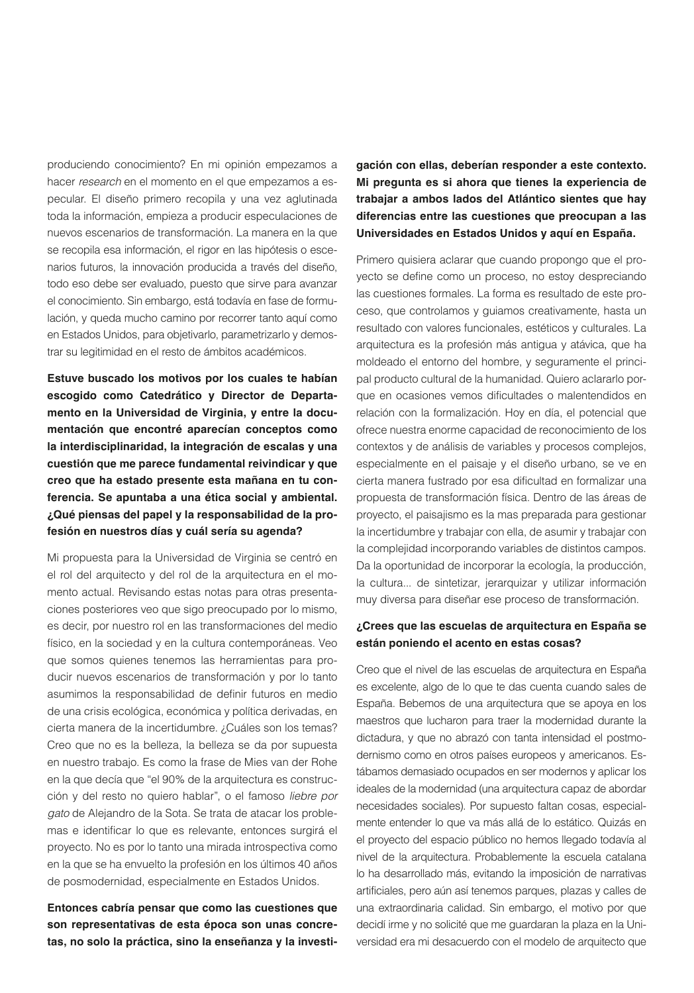produciendo conocimiento? En mi opinión empezamos a hacer *research* en el momento en el que empezamos a especular. El diseño primero recopila y una vez aglutinada toda la información, empieza a producir especulaciones de nuevos escenarios de transformación. La manera en la que se recopila esa información, el rigor en las hipótesis o escenarios futuros, la innovación producida a través del diseño, todo eso debe ser evaluado, puesto que sirve para avanzar el conocimiento. Sin embargo, está todavía en fase de formulación, y queda mucho camino por recorrer tanto aquí como en Estados Unidos, para objetivarlo, parametrizarlo y demostrar su legitimidad en el resto de ámbitos académicos.

**Estuve buscado los motivos por los cuales te habían escogido como Catedrático y Director de Departamento en la Universidad de Virginia, y entre la documentación que encontré aparecían conceptos como la interdisciplinaridad, la integración de escalas y una cuestión que me parece fundamental reivindicar y que creo que ha estado presente esta mañana en tu conferencia. Se apuntaba a una ética social y ambiental. ¿Qué piensas del papel y la responsabilidad de la profesión en nuestros días y cuál sería su agenda?**

Mi propuesta para la Universidad de Virginia se centró en el rol del arquitecto y del rol de la arquitectura en el momento actual. Revisando estas notas para otras presentaciones posteriores veo que sigo preocupado por lo mismo, es decir, por nuestro rol en las transformaciones del medio físico, en la sociedad y en la cultura contemporáneas. Veo que somos quienes tenemos las herramientas para producir nuevos escenarios de transformación y por lo tanto asumimos la responsabilidad de definir futuros en medio de una crisis ecológica, económica y política derivadas, en cierta manera de la incertidumbre. ¿Cuáles son los temas? Creo que no es la belleza, la belleza se da por supuesta en nuestro trabajo. Es como la frase de Mies van der Rohe en la que decía que "el 90% de la arquitectura es construcción y del resto no quiero hablar", o el famoso *liebre por gato* de Alejandro de la Sota. Se trata de atacar los problemas e identificar lo que es relevante, entonces surgirá el proyecto. No es por lo tanto una mirada introspectiva como en la que se ha envuelto la profesión en los últimos 40 años de posmodernidad, especialmente en Estados Unidos.

**Entonces cabría pensar que como las cuestiones que son representativas de esta época son unas concretas, no solo la práctica, sino la enseñanza y la investi-** **gación con ellas, deberían responder a este contexto. Mi pregunta es si ahora que tienes la experiencia de trabajar a ambos lados del Atlántico sientes que hay diferencias entre las cuestiones que preocupan a las Universidades en Estados Unidos y aquí en España.**

Primero quisiera aclarar que cuando propongo que el proyecto se define como un proceso, no estoy despreciando las cuestiones formales. La forma es resultado de este proceso, que controlamos y guiamos creativamente, hasta un resultado con valores funcionales, estéticos y culturales. La arquitectura es la profesión más antigua y atávica, que ha moldeado el entorno del hombre, y seguramente el principal producto cultural de la humanidad. Quiero aclararlo porque en ocasiones vemos dificultades o malentendidos en relación con la formalización. Hoy en día, el potencial que ofrece nuestra enorme capacidad de reconocimiento de los contextos y de análisis de variables y procesos complejos, especialmente en el paisaje y el diseño urbano, se ve en cierta manera fustrado por esa dificultad en formalizar una propuesta de transformación física. Dentro de las áreas de proyecto, el paisajismo es la mas preparada para gestionar la incertidumbre y trabajar con ella, de asumir y trabajar con la complejidad incorporando variables de distintos campos. Da la oportunidad de incorporar la ecología, la producción, la cultura... de sintetizar, jerarquizar y utilizar información muy diversa para diseñar ese proceso de transformación.

## **¿Crees que las escuelas de arquitectura en España se están poniendo el acento en estas cosas?**

Creo que el nivel de las escuelas de arquitectura en España es excelente, algo de lo que te das cuenta cuando sales de España. Bebemos de una arquitectura que se apoya en los maestros que lucharon para traer la modernidad durante la dictadura, y que no abrazó con tanta intensidad el postmodernismo como en otros países europeos y americanos. Estábamos demasiado ocupados en ser modernos y aplicar los ideales de la modernidad (una arquitectura capaz de abordar necesidades sociales). Por supuesto faltan cosas, especialmente entender lo que va más allá de lo estático. Quizás en el proyecto del espacio público no hemos llegado todavía al nivel de la arquitectura. Probablemente la escuela catalana lo ha desarrollado más, evitando la imposición de narrativas artificiales, pero aún así tenemos parques, plazas y calles de una extraordinaria calidad. Sin embargo, el motivo por que decidí irme y no solicité que me guardaran la plaza en la Universidad era mi desacuerdo con el modelo de arquitecto que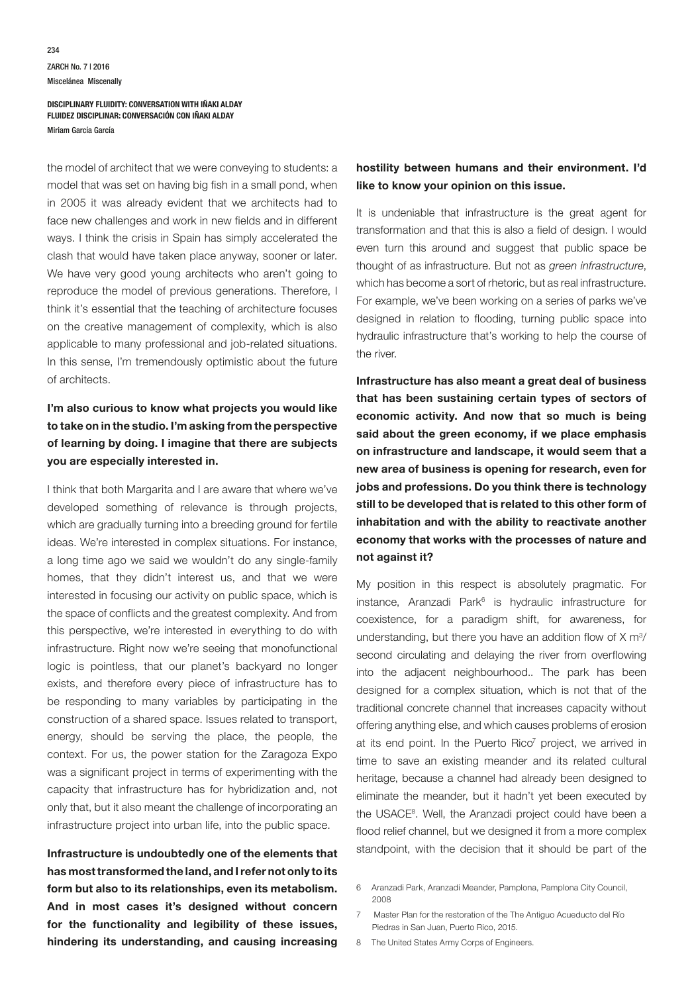the model of architect that we were conveying to students: a model that was set on having big fish in a small pond, when in 2005 it was already evident that we architects had to face new challenges and work in new fields and in different ways. I think the crisis in Spain has simply accelerated the clash that would have taken place anyway, sooner or later. We have very good young architects who aren't going to reproduce the model of previous generations. Therefore, I think it's essential that the teaching of architecture focuses on the creative management of complexity, which is also applicable to many professional and job-related situations. In this sense, I'm tremendously optimistic about the future of architects.

# **I'm also curious to know what projects you would like to take on in the studio. I'm asking from the perspective of learning by doing. I imagine that there are subjects you are especially interested in.**

I think that both Margarita and I are aware that where we've developed something of relevance is through projects, which are gradually turning into a breeding ground for fertile ideas. We're interested in complex situations. For instance, a long time ago we said we wouldn't do any single-family homes, that they didn't interest us, and that we were interested in focusing our activity on public space, which is the space of conflicts and the greatest complexity. And from this perspective, we're interested in everything to do with infrastructure. Right now we're seeing that monofunctional logic is pointless, that our planet's backyard no longer exists, and therefore every piece of infrastructure has to be responding to many variables by participating in the construction of a shared space. Issues related to transport, energy, should be serving the place, the people, the context. For us, the power station for the Zaragoza Expo was a significant project in terms of experimenting with the capacity that infrastructure has for hybridization and, not only that, but it also meant the challenge of incorporating an infrastructure project into urban life, into the public space.

**Infrastructure is undoubtedly one of the elements that has most transformed the land, and I refer not only to its form but also to its relationships, even its metabolism. And in most cases it's designed without concern for the functionality and legibility of these issues, hindering its understanding, and causing increasing** 

## **hostility between humans and their environment. I'd like to know your opinion on this issue.**

It is undeniable that infrastructure is the great agent for transformation and that this is also a field of design. I would even turn this around and suggest that public space be thought of as infrastructure. But not as *green infrastructure*, which has become a sort of rhetoric, but as real infrastructure. For example, we've been working on a series of parks we've designed in relation to flooding, turning public space into hydraulic infrastructure that's working to help the course of the river.

**Infrastructure has also meant a great deal of business that has been sustaining certain types of sectors of economic activity. And now that so much is being said about the green economy, if we place emphasis on infrastructure and landscape, it would seem that a new area of business is opening for research, even for jobs and professions. Do you think there is technology still to be developed that is related to this other form of inhabitation and with the ability to reactivate another economy that works with the processes of nature and not against it?** 

My position in this respect is absolutely pragmatic. For instance, Aranzadi Park<sup>6</sup> is hydraulic infrastructure for coexistence, for a paradigm shift, for awareness, for understanding, but there you have an addition flow of  $X \text{ m}^3$ / second circulating and delaying the river from overflowing into the adjacent neighbourhood.. The park has been designed for a complex situation, which is not that of the traditional concrete channel that increases capacity without offering anything else, and which causes problems of erosion at its end point. In the Puerto Rico<sup>7</sup> project, we arrived in time to save an existing meander and its related cultural heritage, because a channel had already been designed to eliminate the meander, but it hadn't yet been executed by the USACE<sup>8</sup>. Well, the Aranzadi project could have been a flood relief channel, but we designed it from a more complex standpoint, with the decision that it should be part of the

- 6 Aranzadi Park, Aranzadi Meander, Pamplona, Pamplona City Council, 2008
- 7 Master Plan for the restoration of the The Antiguo Acueducto del Río Piedras in San Juan, Puerto Rico, 2015.
- 8 The United States Army Corps of Engineers.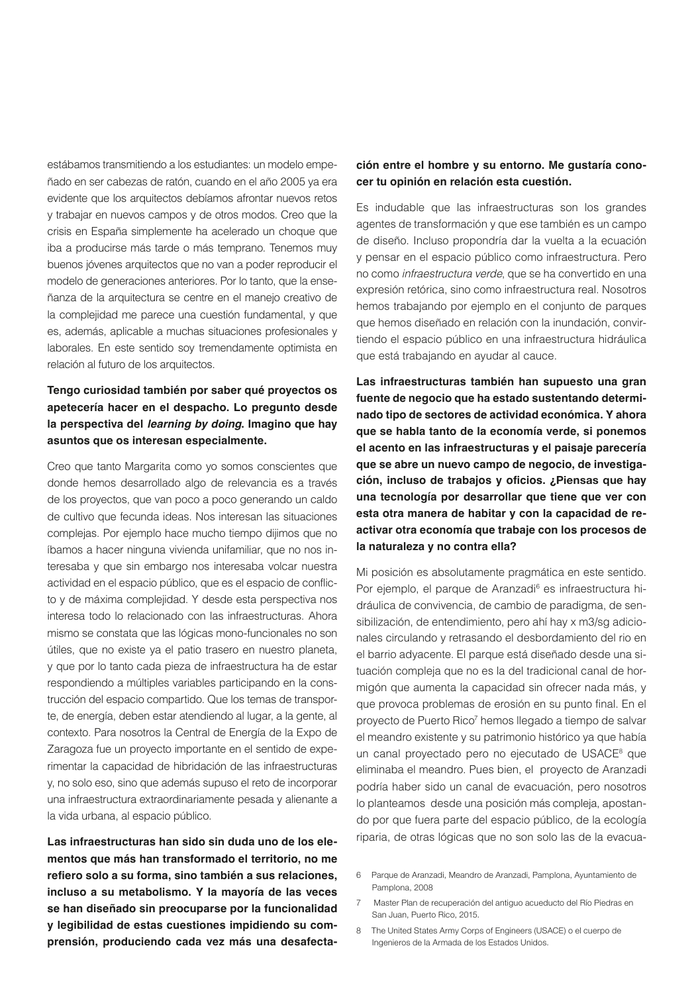estábamos transmitiendo a los estudiantes: un modelo empeñado en ser cabezas de ratón, cuando en el año 2005 ya era evidente que los arquitectos debíamos afrontar nuevos retos y trabajar en nuevos campos y de otros modos. Creo que la crisis en España simplemente ha acelerado un choque que iba a producirse más tarde o más temprano. Tenemos muy buenos jóvenes arquitectos que no van a poder reproducir el modelo de generaciones anteriores. Por lo tanto, que la enseñanza de la arquitectura se centre en el manejo creativo de la complejidad me parece una cuestión fundamental, y que es, además, aplicable a muchas situaciones profesionales y laborales. En este sentido soy tremendamente optimista en relación al futuro de los arquitectos.

# **Tengo curiosidad también por saber qué proyectos os apetecería hacer en el despacho. Lo pregunto desde la perspectiva del** *learning by doing***. Imagino que hay asuntos que os interesan especialmente.**

Creo que tanto Margarita como yo somos conscientes que donde hemos desarrollado algo de relevancia es a través de los proyectos, que van poco a poco generando un caldo de cultivo que fecunda ideas. Nos interesan las situaciones complejas. Por ejemplo hace mucho tiempo dijimos que no íbamos a hacer ninguna vivienda unifamiliar, que no nos interesaba y que sin embargo nos interesaba volcar nuestra actividad en el espacio público, que es el espacio de conflicto y de máxima complejidad. Y desde esta perspectiva nos interesa todo lo relacionado con las infraestructuras. Ahora mismo se constata que las lógicas mono-funcionales no son útiles, que no existe ya el patio trasero en nuestro planeta, y que por lo tanto cada pieza de infraestructura ha de estar respondiendo a múltiples variables participando en la construcción del espacio compartido. Que los temas de transporte, de energía, deben estar atendiendo al lugar, a la gente, al contexto. Para nosotros la Central de Energía de la Expo de Zaragoza fue un proyecto importante en el sentido de experimentar la capacidad de hibridación de las infraestructuras y, no solo eso, sino que además supuso el reto de incorporar una infraestructura extraordinariamente pesada y alienante a la vida urbana, al espacio público.

**Las infraestructuras han sido sin duda uno de los elementos que más han transformado el territorio, no me refiero solo a su forma, sino también a sus relaciones, incluso a su metabolismo. Y la mayoría de las veces se han diseñado sin preocuparse por la funcionalidad y legibilidad de estas cuestiones impidiendo su comprensión, produciendo cada vez más una desafecta-**

## **ción entre el hombre y su entorno. Me gustaría conocer tu opinión en relación esta cuestión.**

Es indudable que las infraestructuras son los grandes agentes de transformación y que ese también es un campo de diseño. Incluso propondría dar la vuelta a la ecuación y pensar en el espacio público como infraestructura. Pero no como *infraestructura verde*, que se ha convertido en una expresión retórica, sino como infraestructura real. Nosotros hemos trabajando por ejemplo en el conjunto de parques que hemos diseñado en relación con la inundación, convirtiendo el espacio público en una infraestructura hidráulica que está trabajando en ayudar al cauce.

**Las infraestructuras también han supuesto una gran fuente de negocio que ha estado sustentando determinado tipo de sectores de actividad económica. Y ahora que se habla tanto de la economía verde, si ponemos el acento en las infraestructuras y el paisaje parecería que se abre un nuevo campo de negocio, de investigación, incluso de trabajos y oficios. ¿Piensas que hay una tecnología por desarrollar que tiene que ver con esta otra manera de habitar y con la capacidad de reactivar otra economía que trabaje con los procesos de la naturaleza y no contra ella?** 

Mi posición es absolutamente pragmática en este sentido. Por ejemplo, el parque de Aranzadi<sup>6</sup> es infraestructura hidráulica de convivencia, de cambio de paradigma, de sensibilización, de entendimiento, pero ahí hay x m3/sg adicionales circulando y retrasando el desbordamiento del rio en el barrio adyacente. El parque está diseñado desde una situación compleja que no es la del tradicional canal de hormigón que aumenta la capacidad sin ofrecer nada más, y que provoca problemas de erosión en su punto final. En el proyecto de Puerto Rico<sup>7</sup> hemos llegado a tiempo de salvar el meandro existente y su patrimonio histórico ya que había un canal proyectado pero no ejecutado de USACE<sup>8</sup> que eliminaba el meandro. Pues bien, el proyecto de Aranzadi podría haber sido un canal de evacuación, pero nosotros lo planteamos desde una posición más compleja, apostando por que fuera parte del espacio público, de la ecología riparia, de otras lógicas que no son solo las de la evacua-

- 6 Parque de Aranzadi, Meandro de Aranzadi, Pamplona, Ayuntamiento de Pamplona, 2008
- 7 Master Plan de recuperación del antiguo acueducto del Río Piedras en San Juan, Puerto Rico, 2015.
- 8 The United States Army Corps of Engineers (USACE) o el cuerpo de Ingenieros de la Armada de los Estados Unidos.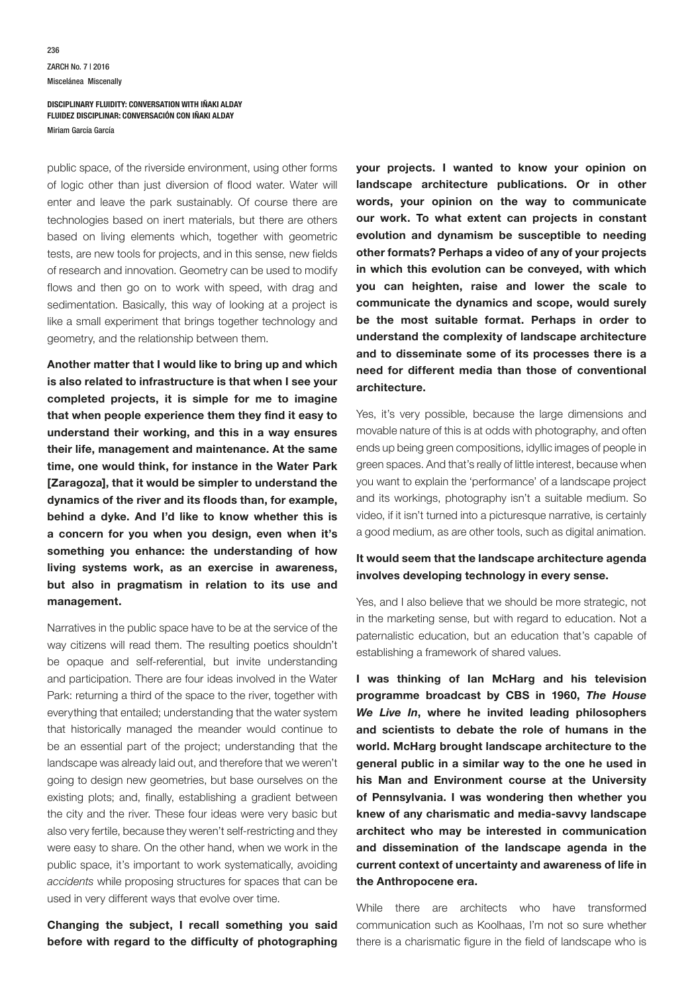### ZARCH No. 7 | 2016 Miscelánea Miscenally 236

#### **DISCIPLINARY FLUIDITY: CONVERSATION WITH IÑAKI ALDAY FLUIDEZ DISCIPLINAR: CONVERSACIÓN CON IÑAKI ALDAY** Miriam García García

public space, of the riverside environment, using other forms of logic other than just diversion of flood water. Water will enter and leave the park sustainably. Of course there are technologies based on inert materials, but there are others based on living elements which, together with geometric tests, are new tools for projects, and in this sense, new fields of research and innovation. Geometry can be used to modify flows and then go on to work with speed, with drag and sedimentation. Basically, this way of looking at a project is like a small experiment that brings together technology and geometry, and the relationship between them.

**Another matter that I would like to bring up and which is also related to infrastructure is that when I see your completed projects, it is simple for me to imagine that when people experience them they find it easy to understand their working, and this in a way ensures their life, management and maintenance. At the same time, one would think, for instance in the Water Park [Zaragoza], that it would be simpler to understand the dynamics of the river and its floods than, for example, behind a dyke. And I'd like to know whether this is a concern for you when you design, even when it's something you enhance: the understanding of how living systems work, as an exercise in awareness, but also in pragmatism in relation to its use and management.**

Narratives in the public space have to be at the service of the way citizens will read them. The resulting poetics shouldn't be opaque and self-referential, but invite understanding and participation. There are four ideas involved in the Water Park: returning a third of the space to the river, together with everything that entailed; understanding that the water system that historically managed the meander would continue to be an essential part of the project; understanding that the landscape was already laid out, and therefore that we weren't going to design new geometries, but base ourselves on the existing plots; and, finally, establishing a gradient between the city and the river. These four ideas were very basic but also very fertile, because they weren't self-restricting and they were easy to share. On the other hand, when we work in the public space, it's important to work systematically, avoiding *accidents* while proposing structures for spaces that can be used in very different ways that evolve over time.

**Changing the subject, I recall something you said before with regard to the difficulty of photographing**  **your projects. I wanted to know your opinion on landscape architecture publications. Or in other words, your opinion on the way to communicate our work. To what extent can projects in constant evolution and dynamism be susceptible to needing other formats? Perhaps a video of any of your projects in which this evolution can be conveyed, with which you can heighten, raise and lower the scale to communicate the dynamics and scope, would surely be the most suitable format. Perhaps in order to understand the complexity of landscape architecture and to disseminate some of its processes there is a need for different media than those of conventional architecture.**

Yes, it's very possible, because the large dimensions and movable nature of this is at odds with photography, and often ends up being green compositions, idyllic images of people in green spaces. And that's really of little interest, because when you want to explain the 'performance' of a landscape project and its workings, photography isn't a suitable medium. So video, if it isn't turned into a picturesque narrative, is certainly a good medium, as are other tools, such as digital animation.

## **It would seem that the landscape architecture agenda involves developing technology in every sense.**

Yes, and I also believe that we should be more strategic, not in the marketing sense, but with regard to education. Not a paternalistic education, but an education that's capable of establishing a framework of shared values.

**I was thinking of Ian McHarg and his television programme broadcast by CBS in 1960,** *The House We Live In***, where he invited leading philosophers and scientists to debate the role of humans in the world. McHarg brought landscape architecture to the general public in a similar way to the one he used in his Man and Environment course at the University of Pennsylvania. I was wondering then whether you knew of any charismatic and media-savvy landscape architect who may be interested in communication and dissemination of the landscape agenda in the current context of uncertainty and awareness of life in the Anthropocene era.**

While there are architects who have transformed communication such as Koolhaas, I'm not so sure whether there is a charismatic figure in the field of landscape who is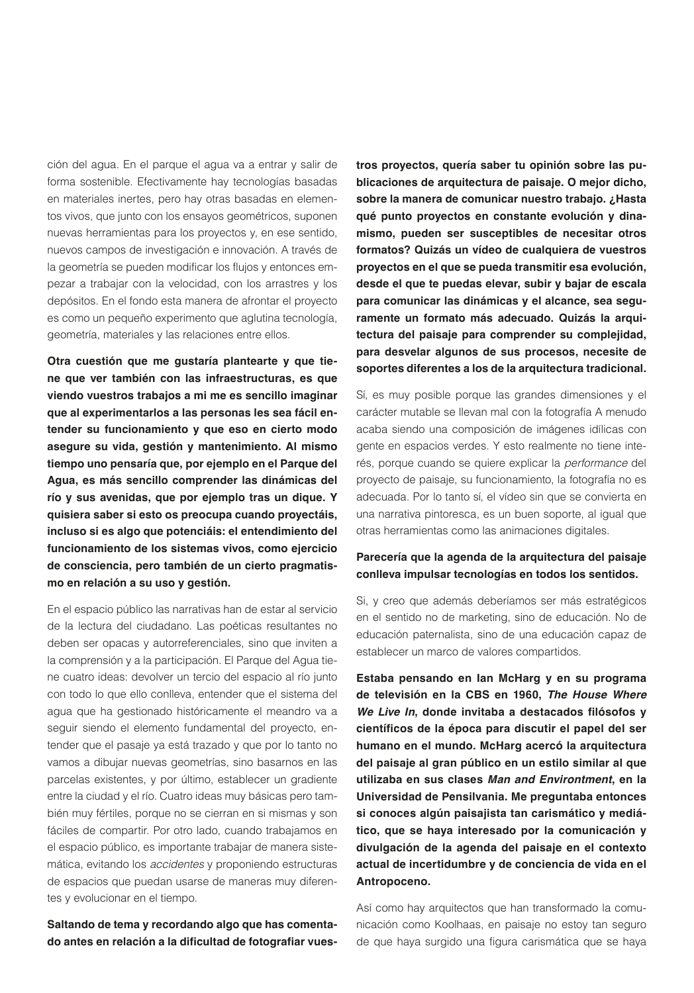ción del agua. En el parque el agua va a entrar y salir de forma sostenible. Efectivamente hay tecnologías basadas en materiales inertes, pero hay otras basadas en elementos vivos, que junto con los ensayos geométricos, suponen nuevas herramientas para los proyectos y, en ese sentido, nuevos campos de investigación e innovación. A través de la geometría se pueden modificar los flujos y entonces empezar a trabajar con la velocidad, con los arrastres y los depósitos. En el fondo esta manera de afrontar el proyecto es como un pequeño experimento que aglutina tecnología, geometría, materiales y las relaciones entre ellos.

**Otra cuestión que me gustaría plantearte y que tiene que ver también con las infraestructuras, es que viendo vuestros trabajos a mi me es sencillo imaginar que al experimentarlos a las personas les sea fácil entender su funcionamiento y que eso en cierto modo asegure su vida, gestión y mantenimiento. Al mismo tiempo uno pensaría que, por ejemplo en el Parque del Agua, es más sencillo comprender las dinámicas del río y sus avenidas, que por ejemplo tras un dique. Y quisiera saber si esto os preocupa cuando proyectáis, incluso si es algo que potenciáis: el entendimiento del funcionamiento de los sistemas vivos, como ejercicio de consciencia, pero también de un cierto pragmatismo en relación a su uso y gestión.**

En el espacio público las narrativas han de estar al servicio de la lectura del ciudadano. Las poéticas resultantes no deben ser opacas y autorreferenciales, sino que inviten a la comprensión y a la participación. El Parque del Agua tiene cuatro ideas: devolver un tercio del espacio al río junto con todo lo que ello conlleva, entender que el sistema del agua que ha gestionado históricamente el meandro va a seguir siendo el elemento fundamental del proyecto, entender que el pasaje ya está trazado y que por lo tanto no vamos a dibujar nuevas geometrías, sino basarnos en las parcelas existentes, y por último, establecer un gradiente entre la ciudad y el río. Cuatro ideas muy básicas pero también muy fértiles, porque no se cierran en si mismas y son fáciles de compartir. Por otro lado, cuando trabajamos en el espacio público, es importante trabajar de manera sistemática, evitando los *accidentes* y proponiendo estructuras de espacios que puedan usarse de maneras muy diferentes y evolucionar en el tiempo.

**Saltando de tema y recordando algo que has comentado antes en relación a la dificultad de fotografiar vues-** **tros proyectos, quería saber tu opinión sobre las publicaciones de arquitectura de paisaje. O mejor dicho, sobre la manera de comunicar nuestro trabajo. ¿Hasta qué punto proyectos en constante evolución y dinamismo, pueden ser susceptibles de necesitar otros formatos? Quizás un vídeo de cualquiera de vuestros proyectos en el que se pueda transmitir esa evolución, desde el que te puedas elevar, subir y bajar de escala para comunicar las dinámicas y el alcance, sea seguramente un formato más adecuado. Quizás la arquitectura del paisaje para comprender su complejidad, para desvelar algunos de sus procesos, necesite de soportes diferentes a los de la arquitectura tradicional.**

Sí, es muy posible porque las grandes dimensiones y el carácter mutable se llevan mal con la fotografía A menudo acaba siendo una composición de imágenes idílicas con gente en espacios verdes. Y esto realmente no tiene interés, porque cuando se quiere explicar la *performance* del proyecto de paisaje, su funcionamiento, la fotografía no es adecuada. Por lo tanto sí, el vídeo sin que se convierta en una narrativa pintoresca, es un buen soporte, al igual que otras herramientas como las animaciones digitales.

## **Parecería que la agenda de la arquitectura del paisaje conlleva impulsar tecnologías en todos los sentidos.**

Si, y creo que además deberíamos ser más estratégicos en el sentido no de marketing, sino de educación. No de educación paternalista, sino de una educación capaz de establecer un marco de valores compartidos.

**Estaba pensando en Ian McHarg y en su programa de televisión en la CBS en 1960,** *The House Where We Live In***, donde invitaba a destacados filósofos y científicos de la época para discutir el papel del ser humano en el mundo. McHarg acercó la arquitectura del paisaje al gran público en un estilo similar al que utilizaba en sus clases** *Man and Environtment***, en la Universidad de Pensilvania. Me preguntaba entonces si conoces algún paisajista tan carismático y mediático, que se haya interesado por la comunicación y divulgación de la agenda del paisaje en el contexto actual de incertidumbre y de conciencia de vida en el Antropoceno.**

Así como hay arquitectos que han transformado la comunicación como Koolhaas, en paisaje no estoy tan seguro de que haya surgido una figura carismática que se haya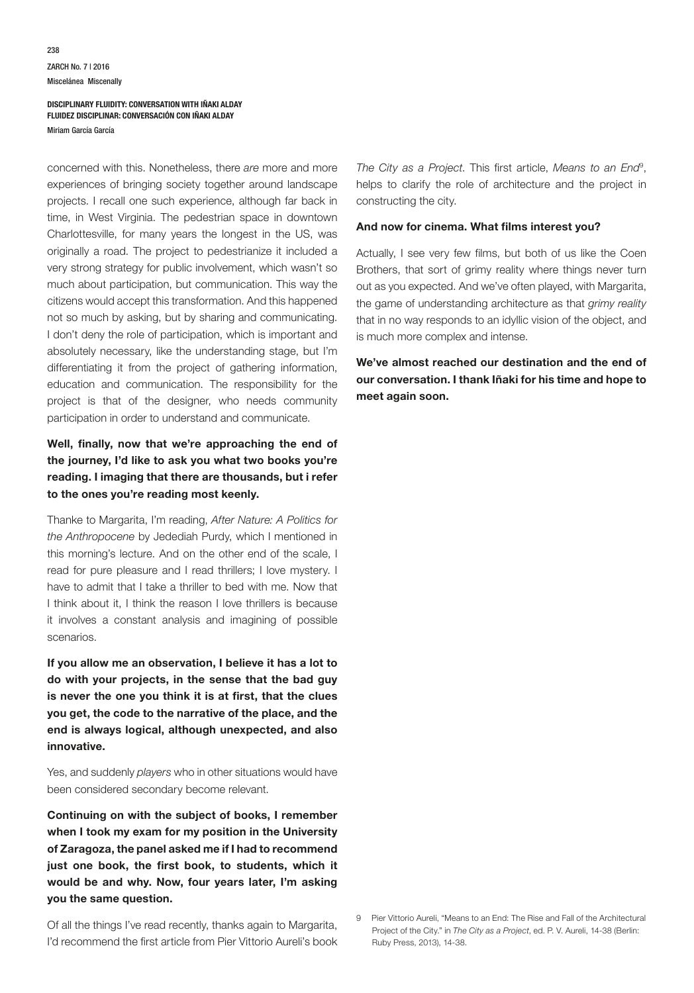concerned with this. Nonetheless, there *are* more and more experiences of bringing society together around landscape projects. I recall one such experience, although far back in time, in West Virginia. The pedestrian space in downtown Charlottesville, for many years the longest in the US, was originally a road. The project to pedestrianize it included a very strong strategy for public involvement, which wasn't so much about participation, but communication. This way the citizens would accept this transformation. And this happened not so much by asking, but by sharing and communicating. I don't deny the role of participation, which is important and absolutely necessary, like the understanding stage, but I'm differentiating it from the project of gathering information, education and communication. The responsibility for the project is that of the designer, who needs community participation in order to understand and communicate.

## **Well, finally, now that we're approaching the end of the journey, I'd like to ask you what two books you're reading. I imaging that there are thousands, but i refer to the ones you're reading most keenly.**

Thanke to Margarita, I'm reading, *After Nature: A Politics for the Anthropocene* by Jedediah Purdy, which I mentioned in this morning's lecture. And on the other end of the scale, I read for pure pleasure and I read thrillers; I love mystery. I have to admit that I take a thriller to bed with me. Now that I think about it, I think the reason I love thrillers is because it involves a constant analysis and imagining of possible scenarios.

**If you allow me an observation, I believe it has a lot to do with your projects, in the sense that the bad guy is never the one you think it is at first, that the clues you get, the code to the narrative of the place, and the end is always logical, although unexpected, and also innovative.**

Yes, and suddenly *players* who in other situations would have been considered secondary become relevant.

**Continuing on with the subject of books, I remember when I took my exam for my position in the University of Zaragoza, the panel asked me if I had to recommend just one book, the first book, to students, which it would be and why. Now, four years later, I'm asking you the same question.**

Of all the things I've read recently, thanks again to Margarita, I'd recommend the first article from Pier Vittorio Aureli's book

*The City as a Project*. This first article, *Means to an End*<sup>9</sup> , helps to clarify the role of architecture and the project in constructing the city.

#### **And now for cinema. What films interest you?**

Actually, I see very few films, but both of us like the Coen Brothers, that sort of grimy reality where things never turn out as you expected. And we've often played, with Margarita, the game of understanding architecture as that *grimy reality* that in no way responds to an idyllic vision of the object, and is much more complex and intense.

**We've almost reached our destination and the end of our conversation. I thank Iñaki for his time and hope to meet again soon.**

<sup>9</sup> Pier Vittorio Aureli, "Means to an End: The Rise and Fall of the Architectural Project of the City." in *The City as a Project*, ed. P. V. Aureli, 14-38 (Berlin: Ruby Press, 2013), 14-38.